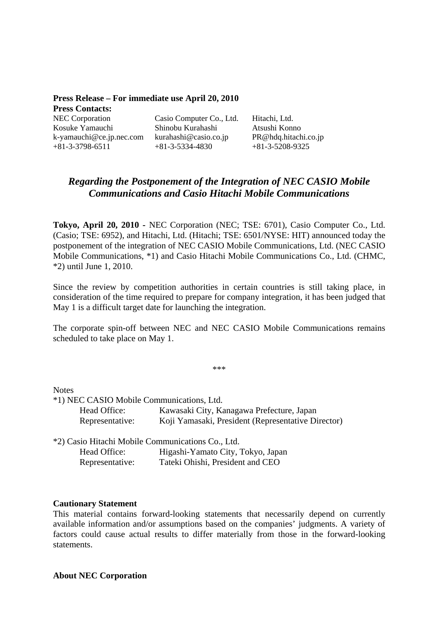| Press Release – For immediate use April 20, 2010 |                          |                      |
|--------------------------------------------------|--------------------------|----------------------|
| <b>Press Contacts:</b>                           |                          |                      |
| <b>NEC</b> Corporation                           | Casio Computer Co., Ltd. | Hitachi, Ltd.        |
| Kosuke Yamauchi                                  | Shinobu Kurahashi        | Atsushi Konno        |
| $k$ -yamauchi@ce.jp.nec.com                      | kurahashi@casio.co.jp    | PR@hdq.hitachi.co.jp |
| $+81-3-3798-6511$                                | $+81-3-5334-4830$        | $+81-3-5208-9325$    |

# *Regarding the Postponement of the Integration of NEC CASIO Mobile Communications and Casio Hitachi Mobile Communications*

**Tokyo, April 20, 2010 -** NEC Corporation (NEC; TSE: 6701), Casio Computer Co., Ltd. (Casio; TSE: 6952), and Hitachi, Ltd. (Hitachi; TSE: 6501/NYSE: HIT) announced today the postponement of the integration of NEC CASIO Mobile Communications, Ltd. (NEC CASIO Mobile Communications, \*1) and Casio Hitachi Mobile Communications Co., Ltd. (CHMC, \*2) until June 1, 2010.

Since the review by competition authorities in certain countries is still taking place, in consideration of the time required to prepare for company integration, it has been judged that May 1 is a difficult target date for launching the integration.

The corporate spin-off between NEC and NEC CASIO Mobile Communications remains scheduled to take place on May 1.

\*\*\*

**Notes** 

\*1) NEC CASIO Mobile Communications, Ltd. Head Office: Kawasaki City, Kanagawa Prefecture, Japan Representative: Koji Yamasaki, President (Representative Director)

| *2) Casio Hitachi Mobile Communications Co., Ltd. |                                   |
|---------------------------------------------------|-----------------------------------|
| Head Office:                                      | Higashi-Yamato City, Tokyo, Japan |
| Representative:                                   | Tateki Ohishi, President and CEO  |

### **Cautionary Statement**

This material contains forward-looking statements that necessarily depend on currently available information and/or assumptions based on the companies' judgments. A variety of factors could cause actual results to differ materially from those in the forward-looking statements.